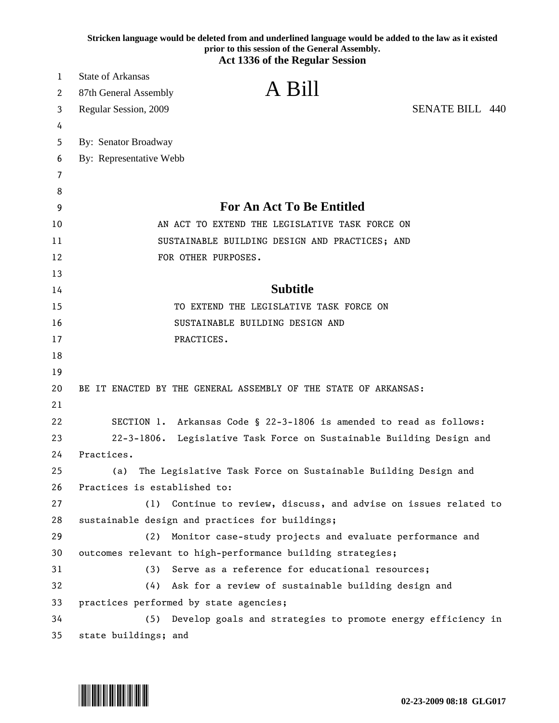|    | Stricken language would be deleted from and underlined language would be added to the law as it existed<br>prior to this session of the General Assembly. |  |
|----|-----------------------------------------------------------------------------------------------------------------------------------------------------------|--|
|    | <b>Act 1336 of the Regular Session</b>                                                                                                                    |  |
| 1  | <b>State of Arkansas</b>                                                                                                                                  |  |
| 2  | A Bill<br>87th General Assembly                                                                                                                           |  |
| 3  | <b>SENATE BILL 440</b><br>Regular Session, 2009                                                                                                           |  |
| 4  |                                                                                                                                                           |  |
| 5  | By: Senator Broadway                                                                                                                                      |  |
| 6  | By: Representative Webb                                                                                                                                   |  |
| 7  |                                                                                                                                                           |  |
| 8  |                                                                                                                                                           |  |
| 9  | <b>For An Act To Be Entitled</b>                                                                                                                          |  |
| 10 | AN ACT TO EXTEND THE LEGISLATIVE TASK FORCE ON                                                                                                            |  |
| 11 | SUSTAINABLE BUILDING DESIGN AND PRACTICES; AND                                                                                                            |  |
| 12 | FOR OTHER PURPOSES.                                                                                                                                       |  |
| 13 |                                                                                                                                                           |  |
| 14 | <b>Subtitle</b>                                                                                                                                           |  |
| 15 | TO EXTEND THE LEGISLATIVE TASK FORCE ON                                                                                                                   |  |
| 16 | SUSTAINABLE BUILDING DESIGN AND                                                                                                                           |  |
| 17 | PRACTICES.                                                                                                                                                |  |
| 18 |                                                                                                                                                           |  |
| 19 |                                                                                                                                                           |  |
| 20 | BE IT ENACTED BY THE GENERAL ASSEMBLY OF THE STATE OF ARKANSAS:                                                                                           |  |
| 21 |                                                                                                                                                           |  |
| 22 | SECTION 1. Arkansas Code § 22-3-1806 is amended to read as follows:                                                                                       |  |
| 23 | $22 - 3 - 1806$ .<br>Legislative Task Force on Sustainable Building Design and                                                                            |  |
| 24 | Practices.                                                                                                                                                |  |
| 25 | (a)<br>The Legislative Task Force on Sustainable Building Design and                                                                                      |  |
| 26 | Practices is established to:                                                                                                                              |  |
| 27 | (1)<br>Continue to review, discuss, and advise on issues related to                                                                                       |  |
| 28 | sustainable design and practices for buildings;                                                                                                           |  |
| 29 | Monitor case-study projects and evaluate performance and<br>(2)                                                                                           |  |
| 30 | outcomes relevant to high-performance building strategies;                                                                                                |  |
| 31 | Serve as a reference for educational resources;<br>(3)                                                                                                    |  |
| 32 | Ask for a review of sustainable building design and<br>(4)                                                                                                |  |
| 33 | practices performed by state agencies;                                                                                                                    |  |
| 34 | Develop goals and strategies to promote energy efficiency in<br>(5)                                                                                       |  |
| 35 | state buildings; and                                                                                                                                      |  |